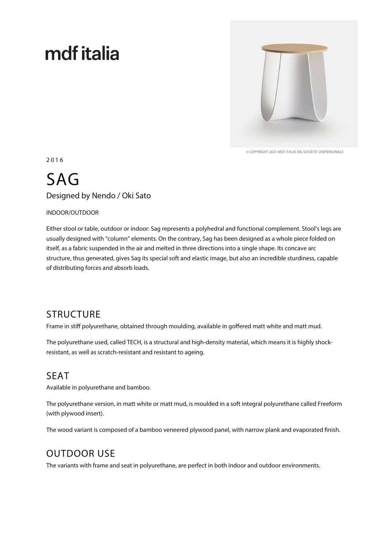# mdf italia



© COPYRIGHT 2021 MDF ITALIA SRL SOCIETA' UNIPERSONALE

2 0 1 6

## SAG Designed by Nendo / Oki Sato

#### INDOOR/OUTDOOR

Either stool or table, outdoor or indoor: Sag represents a polyhedral and functional complement. Stool's legs are usually designed with "column" elements. On the contrary, Sag has been designed as a whole piece folded on itself, as a fabric suspended in the air and melted in three directions into a single shape. Its concave arc structure, thus generated, gives Sag its special soft and elastic image, but also an incredible sturdiness, capable of distributing forces and absorb loads.

#### **STRUCTURE**

Frame in stiff polyurethane, obtained through moulding, available in goffered matt white and matt mud.

The polyurethane used, called TECH, is a structural and high-density material, which means it is highly shockresistant, as well as scratch-resistant and resistant to ageing.

#### SEAT

Available in polyurethane and bamboo.

The polyurethane version, in matt white or matt mud, is moulded in a soft integral polyurethane called Freeform (with plywood insert).

The wood variant is composed of a bamboo veneered plywood panel, with narrow plank and evaporated finish.

### OUTDOOR USE

The variants with frame and seat in polyurethane, are perfect in both indoor and outdoor environments.